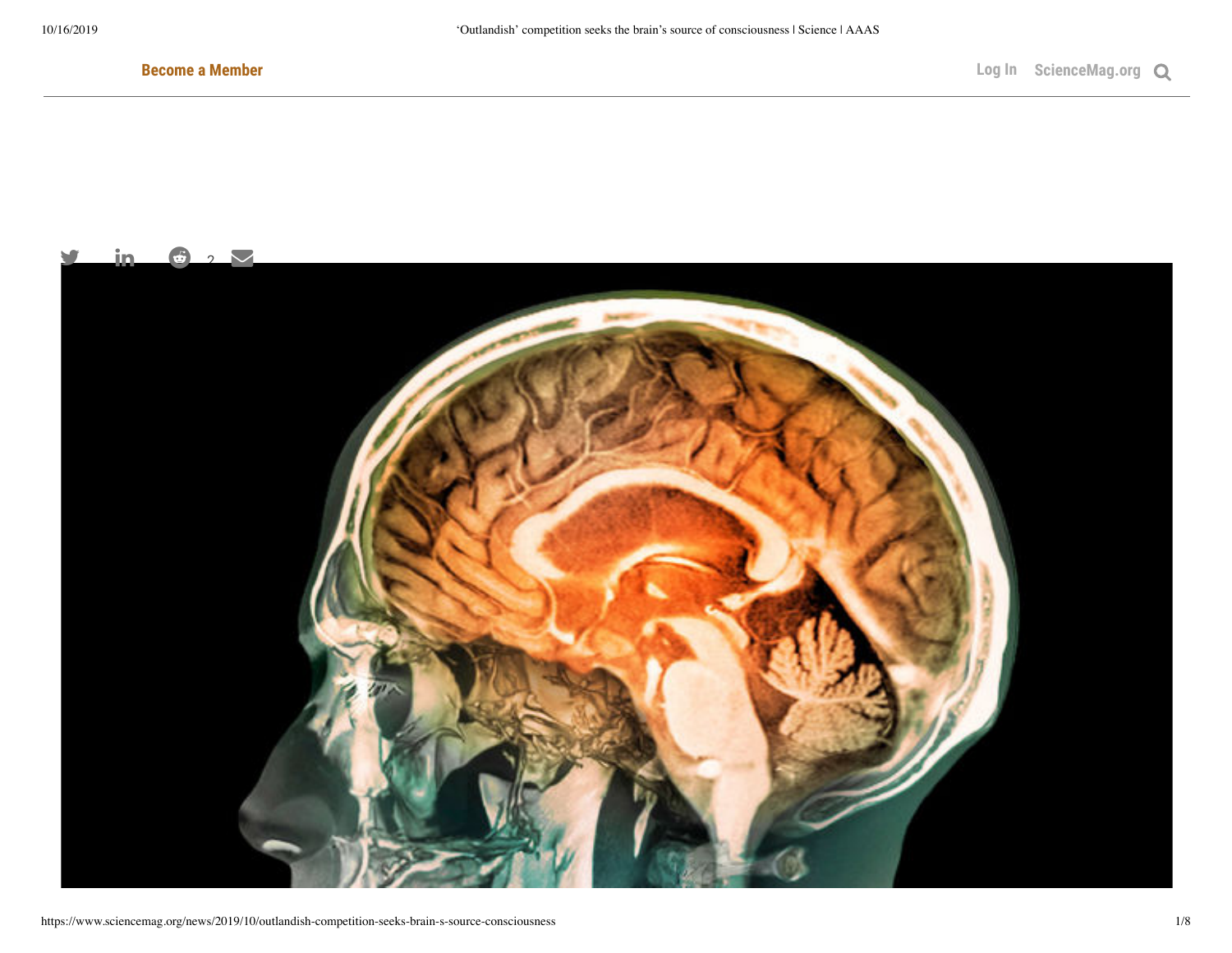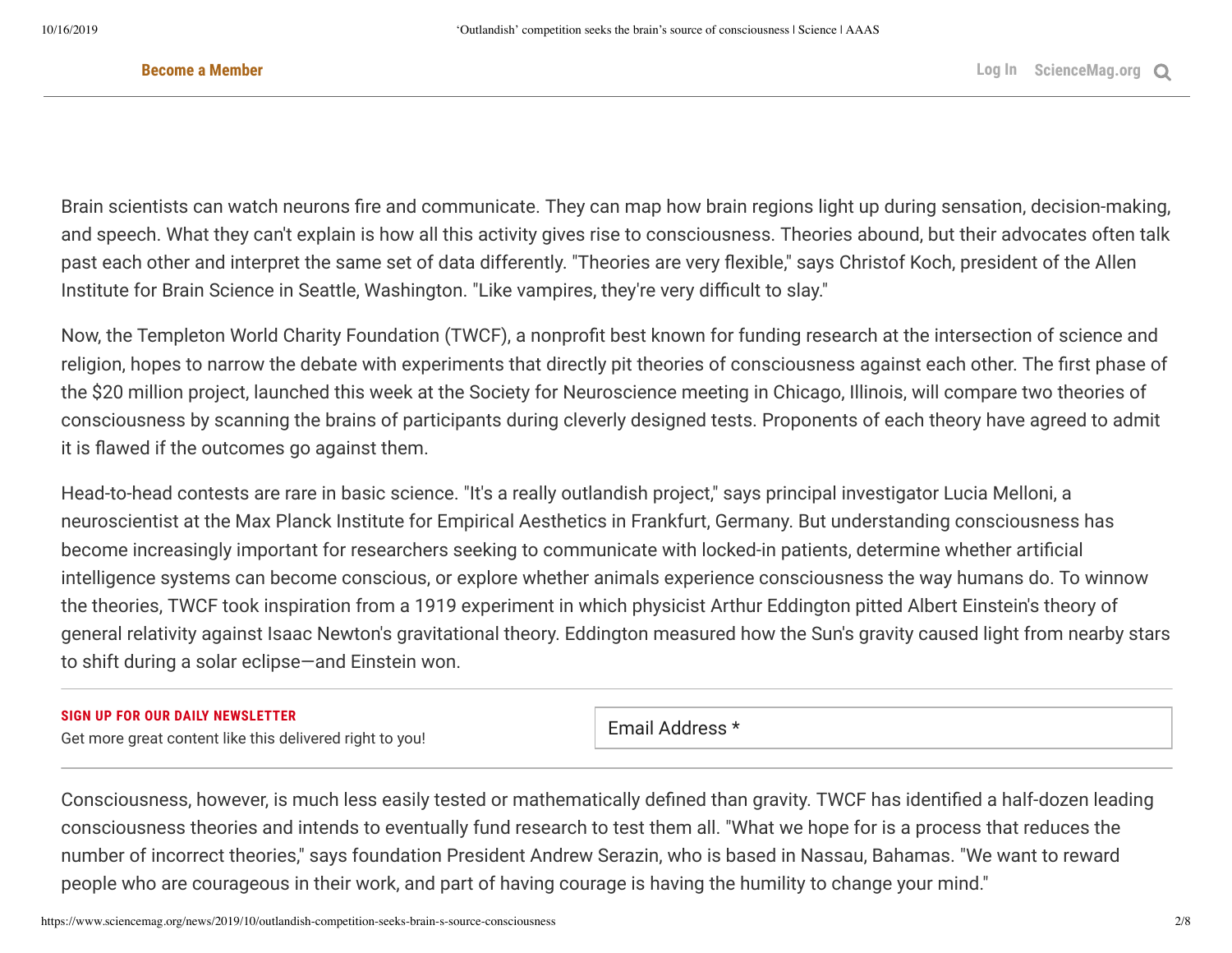Brain scientists can watch neurons fire and communicate. They can map how brain regions light up during sensation, decision-making, and speech. What they can't explain is how all this activity gives rise to consciousness. Theories abound, but their advocates often talk past each other and interpret the same set of data differently. "Theories are very flexible," says Christof Koch, president of the Allen Institute for Brain Science in Seattle, Washington. "Like vampires, they're very difficult to slay."

'Outlandish' competition seeks the brain's source of competition seeks the brain of consciousness the brain of<br>'Outland' competition seeks the brain's source of consciousness the brain of consciousness the brain of conscio

Now, the Templeton World Charity Foundation (TWCF), a nonprofit best known for funding research at the intersection of science and religion, hopes to narrow the debate with experiments that directly pit theories of consciousness against each other. The first phase of the \$20 million project, launched this week at the Society for Neuroscience meeting in Chicago, Illinois, will compare two theories of consciousness by scanning the brains of participants during cleverly designed tests. Proponents of each theory have agreed to admit it is flawed if the outcomes go against them.

Head-to-head contests are rare in basic science. "It's a really outlandish project," says principal investigator Lucia Melloni, a neuroscientist at the Max Planck Institute for Empirical Aesthetics in Frankfurt, Germany. But understanding consciousness has become increasingly important for researchers seeking to communicate with locked-in patients, determine whether articial intelligence systems can become conscious, or explore whether animals experience consciousness the way humans do. To winnow the theories, TWCF took inspiration from a 1919 experiment in which physicist Arthur Eddington pitted Albert Einstein's theory of general relativity against Isaac Newton's gravitational theory. Eddington measured how the Sun's gravity caused light from nearby stars to shift during a solar eclipse—and Einstein won.

#### **SIGN UP FOR OUR DAILY NEWSLETTER**

Get more great content like this delivered right to you!

Email Address \*

Consciousness, however, is much less easily tested or mathematically defined than gravity. TWCF has identified a half-dozen leading consciousness theories and intends to eventually fund research to test them all. "What we hope for is a process that reduces the number of incorrect theories," says foundation President Andrew Serazin, who is based in Nassau, Bahamas. "We want to reward people who are courageous in their work, and part of having courage is having the humility to change your mind."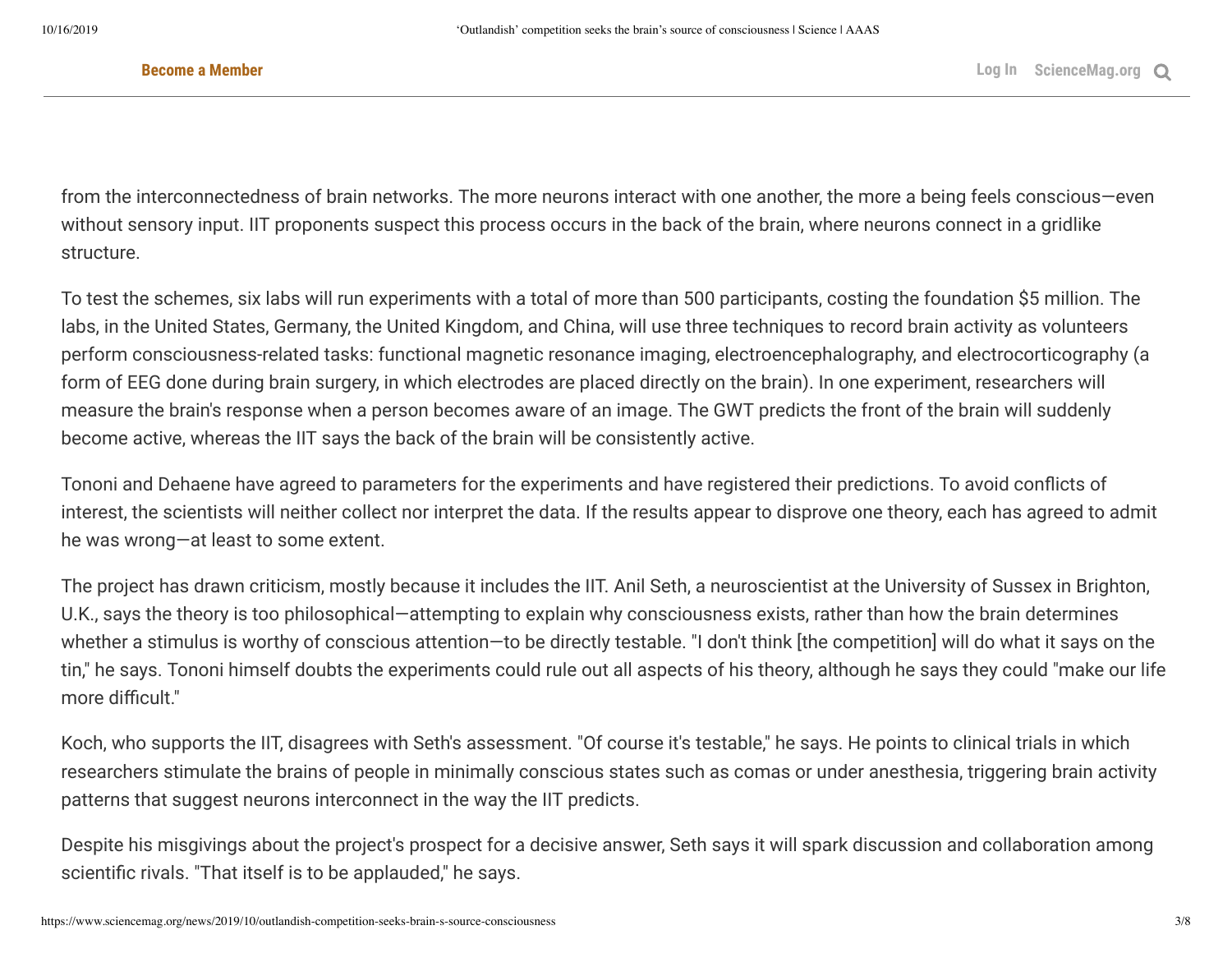from the interconnectedness of brain networks. The more neurons interact with one another, the more a being feels conscious—even without sensory input. IIT proponents suspect this process occurs in the back of the brain, where neurons connect in a gridlike structure.

To test the schemes, six labs will run experiments with a total of more than 500 participants, costing the foundation \$5 million. The labs, in the United States, Germany, the United Kingdom, and China, will use three techniques to record brain activity as volunteers perform consciousness-related tasks: functional magnetic resonance imaging, electroencephalography, and electrocorticography (a form of EEG done during brain surgery, in which electrodes are placed directly on the brain). In one experiment, researchers will measure the brain's response when a person becomes aware of an image. The GWT predicts the front of the brain will suddenly become active, whereas the IIT says the back of the brain will be consistently active.

Tononi and Dehaene have agreed to parameters for the experiments and have registered their predictions. To avoid conflicts of interest, the scientists will neither collect nor interpret the data. If the results appear to disprove one theory, each has agreed to admit he was wrong—at least to some extent.

The project has drawn criticism, mostly because it includes the IIT. Anil Seth, a neuroscientist at the University of Sussex in Brighton, U.K., says the theory is too philosophical—attempting to explain why consciousness exists, rather than how the brain determines whether a stimulus is worthy of conscious attention—to be directly testable. "I don't think [the competition] will do what it says on the tin," he says. Tononi himself doubts the experiments could rule out all aspects of his theory, although he says they could "make our life more difficult."

Koch, who supports the IIT, disagrees with Seth's assessment. "Of course it's testable," he says. He points to clinical trials in which researchers stimulate the brains of people in minimally conscious states such as comas or under anesthesia, triggering brain activity patterns that suggest neurons interconnect in the way the IIT predicts.

Despite his misgivings about the project's prospect for a decisive answer, Seth says it will spark discussion and collaboration among scientific rivals. "That itself is to be applauded," he says.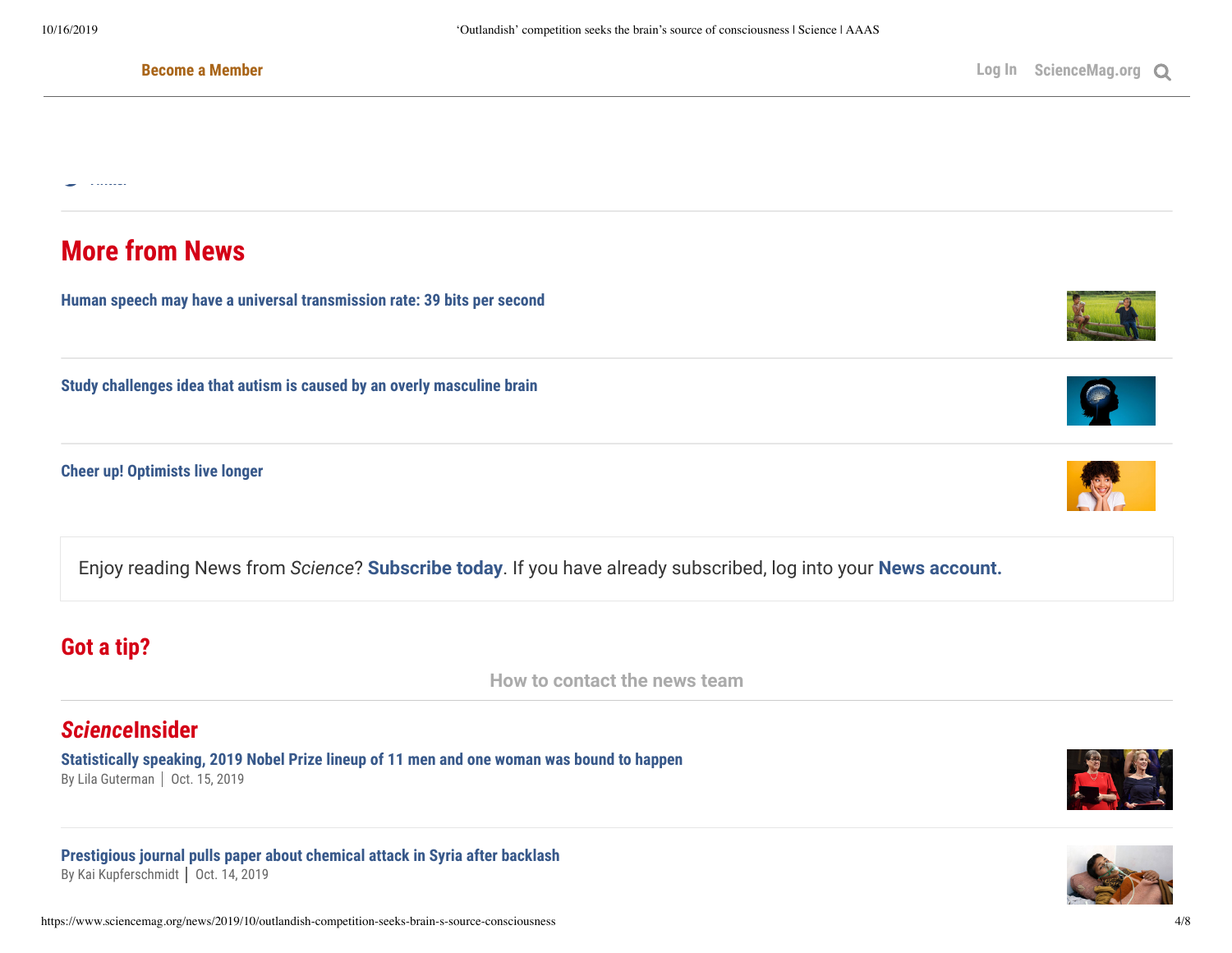U,

#### Become a Member

# **More from News**

**[Human speech may have a universal transmission rate: 39 bits per second](https://www.sciencemag.org/news/2019/09/human-speech-may-have-universal-transmission-rate-39-bits-second)**

**[Study challenges idea that autism is caused by an overly masculine brain](https://www.sciencemag.org/news/2019/09/study-challenges-idea-autism-caused-overly-masculine-brain)**

**[Cheer up! Optimists live longer](https://www.sciencemag.org/news/2019/08/cheer-optimists-live-longer)**

Enjoy reading News from *Science*? **[Subscribe today](https://www.sciencemag.org/news/subscriptions)**. If you have already subscribed, log into your **[News account.](https://www.sciencemag.org/news/my-account)**

# **Got a tip?**

**[How to contact the news team](https://www.sciencemag.org/about/got-tip)**

## *Science***Insider**

**[Statistically speaking, 2019 Nobel Prize lineup of 11 men and one woman was bound to happen](https://www.sciencemag.org/news/2019/10/statistically-speaking-2019-nobel-prize-lineup-11-men-and-one-woman-was-bound-happen)** By [Lila Guterman](https://www.sciencemag.org/author/lila-guterman) | Oct. 15, 2019

**[Prestigious journal pulls paper about chemical attack in Syria after backlash](https://www.sciencemag.org/news/2019/10/prestigious-journal-pulls-paper-about-chemical-attack-syria-after-backlash)** By [Kai Kupferschmidt](https://www.sciencemag.org/author/kai-kupferschmidt) | Oct. 14, 2019







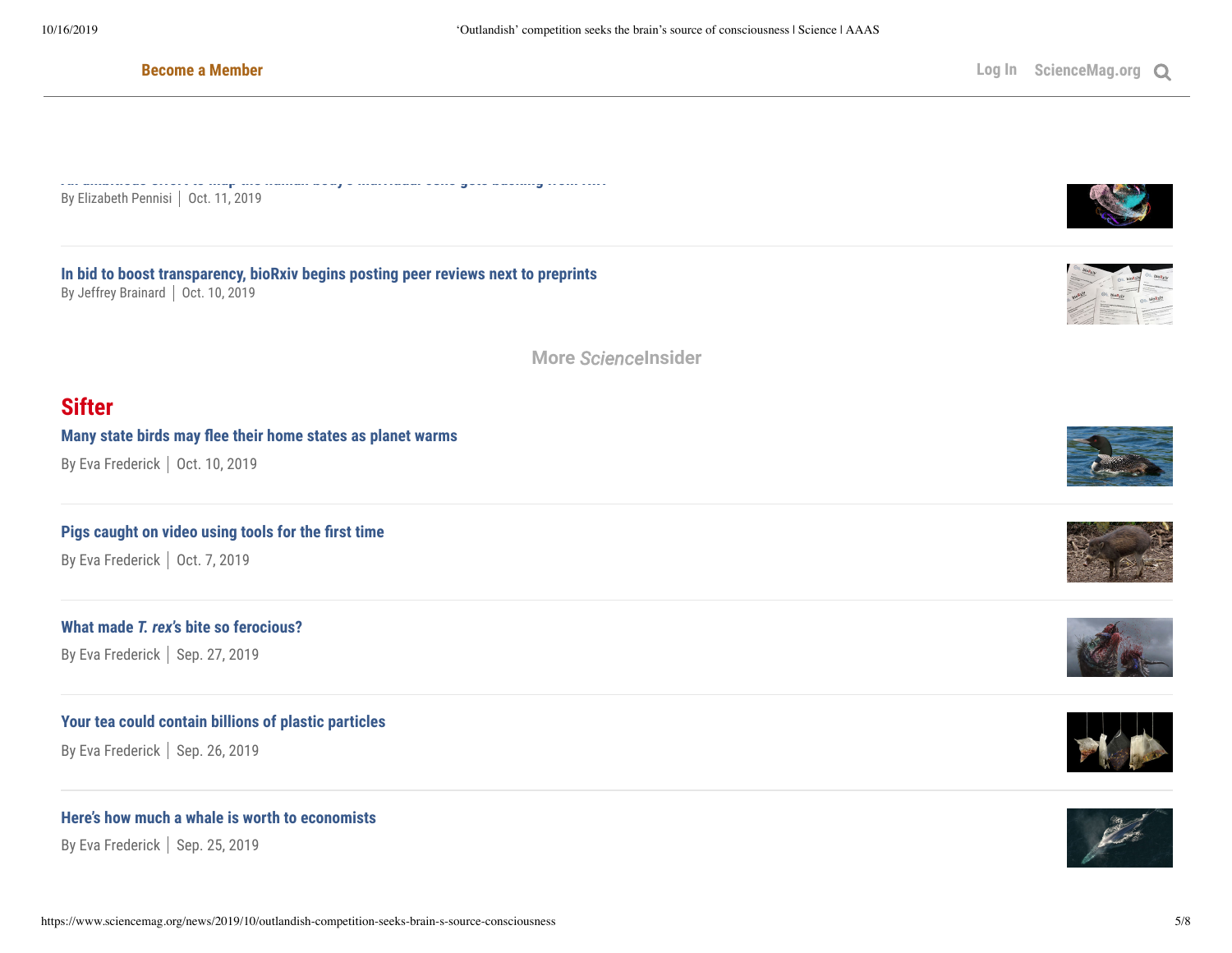**[An ambitious effort to map the human body's individual cells gets backing from NIH](https://www.sciencemag.org/news/2019/10/ambitious-effort-map-human-body-s-individual-cells-gets-backing-nih)** By [Elizabeth Pennisi](https://www.sciencemag.org/author/elizabeth-pennisi) | Oct. 11, 2019

By [Adrian Cho](https://www.sciencemag.org/author/adrian-cho) Oct. 14, 2019

**[In bid to boost transparency, bioRxiv begins posting peer reviews next to preprints](https://www.sciencemag.org/news/2019/10/bid-boost-transparency-biorxiv-begins-posting-peer-reviews-next-preprints)** By [Jeffrey Brainard](https://www.sciencemag.org/author/jeffrey-brainard) | Oct. 10, 2019

**More** *[Science](https://www.sciencemag.org/news/scienceinsider)***Insider**

## **Sifter**

#### **Many state birds may flee their home states as planet warms**

By Eva [Frederick](https://www.sciencemag.org/author/eva-frederick) | Oct. 10, 2019

## **Pigs caught on video using tools for the first time**

By Eva [Frederick](https://www.sciencemag.org/author/eva-frederick) | Oct. 7, 2019

#### **What made** *T. rex***['s bite so ferocious?](https://www.sciencemag.org/news/2019/09/what-made-t-rex-s-bite-so-ferocious)**

By Eva [Frederick](https://www.sciencemag.org/author/eva-frederick) | Sep. 27, 2019

### **[Your tea could contain billions of plastic particles](https://www.sciencemag.org/news/2019/09/your-tea-could-contain-billions-plastic-particles)**

By Eva [Frederick](https://www.sciencemag.org/author/eva-frederick) | Sep. 26, 2019

## **[Here's how much a whale is worth to economists](https://www.sciencemag.org/news/2019/09/here-s-how-much-whale-worth-economists)**

By Eva [Frederick](https://www.sciencemag.org/author/eva-frederick) | Sep. 25, 2019









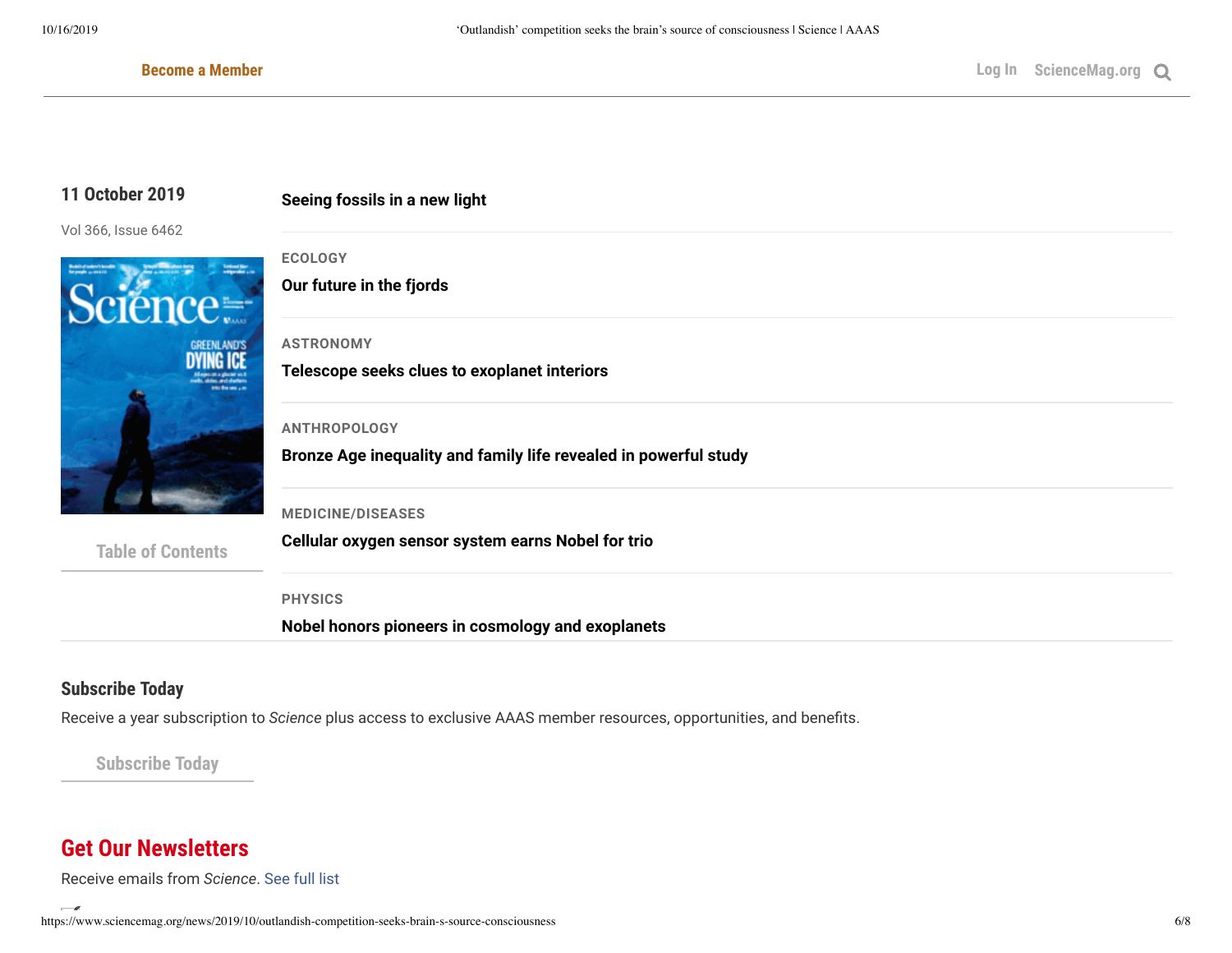## **11 October 2019**

Vol 366, Issue 6462



**[Table of Contents](https://science.sciencemag.org/)**

**ECOLOGY**

**[Our future in the fjords](http://science.sciencemag.org/content/366/6462/170)**

**[Seeing fossils in a new light](http://science.sciencemag.org/content/366/6462/176)**

#### **ASTRONOMY**

**[Telescope seeks clues to exoplanet interiors](http://science.sciencemag.org/content/366/6462/169)**

#### **ANTHROPOLOGY**

**[Bronze Age inequality and family life revealed in powerful study](http://science.sciencemag.org/content/366/6462/168)**

#### **MEDICINE/DISEASES**

**[Cellular oxygen sensor system earns Nobel for trio](http://science.sciencemag.org/content/366/6462/167)**

**PHYSICS**

**[Nobel honors pioneers in cosmology and exoplanets](http://science.sciencemag.org/content/366/6462/166)**

## **Subscribe Today**

Receive a year subscription to *Science* plus access to exclusive AAAS member resources, opportunities, and benefits.

**Subscribe Today**

# **Get Our Newsletters**

Receive emails from *Science*. [See full](https://www.sciencemag.org/subscribe/get-our-newsletters) list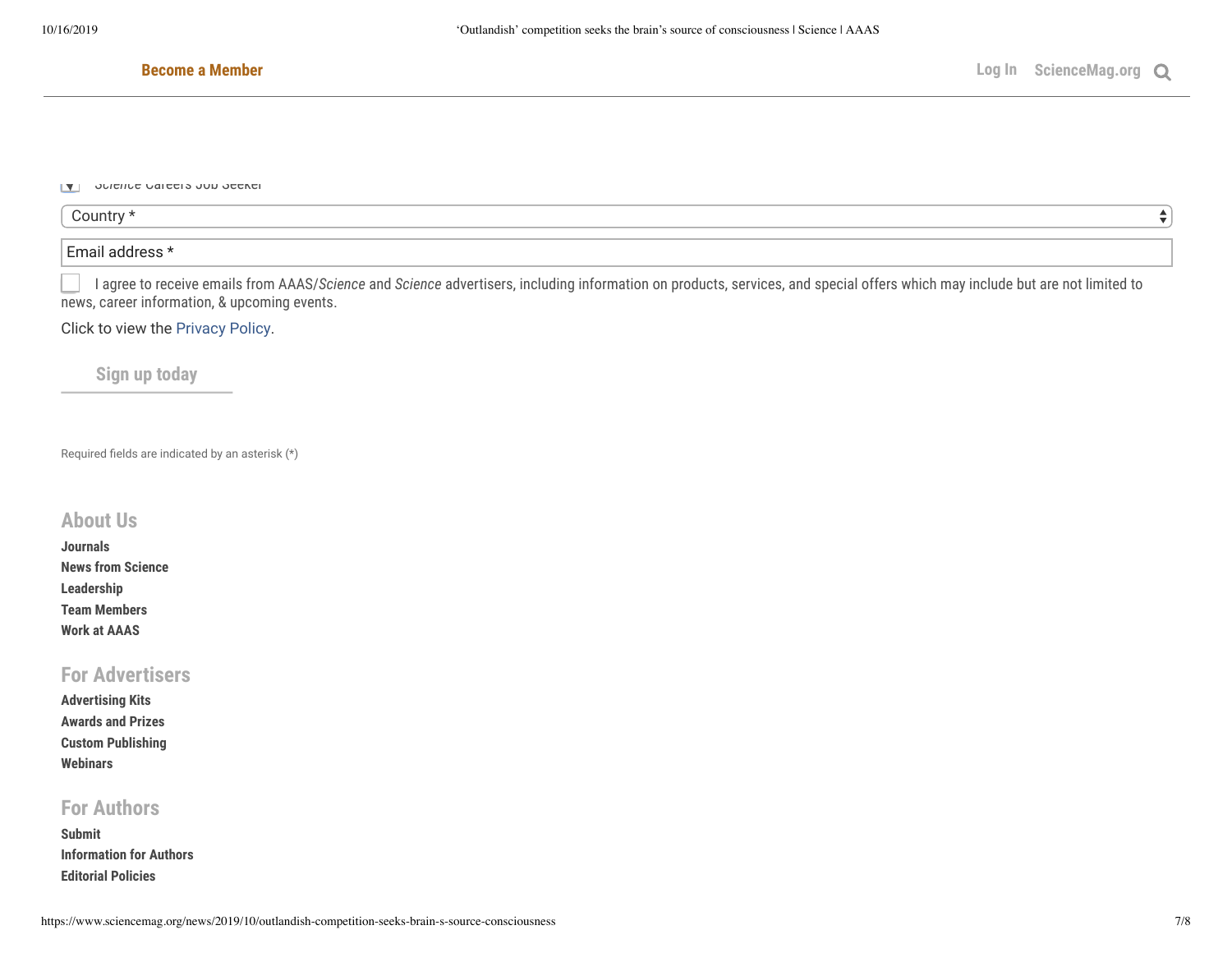$\overline{\phantom{a}}$ 

#### **Become a Member**

יר *Science* Career *S* ובא

| `ountry |  |
|---------|--|
|         |  |
| -       |  |

I agree to receive emails from AAAS/*Science* and *Science* advertisers, including information on products, services, and special offers which may include but are not limited to news, career information, & upcoming events.

Click to view the [Privacy](https://www.sciencemag.org/about/privacy-policy) Policy.

**Sign up today**

Required fields are indicated by an asterisk (\*)

## **[About Us](https://www.sciencemag.org/about/about-us)**

| <b>Journals</b>          |
|--------------------------|
| <b>News from Science</b> |
| <b>Leadership</b>        |
| <b>Team Members</b>      |
| <b>Work at AAAS</b>      |

## **[For Advertisers](https://advertising.sciencemag.org/)**

| <b>Advertising Kits</b>  |
|--------------------------|
| <b>Awards and Prizes</b> |
| <b>Custom Publishing</b> |
| Webinars                 |

## **[For Authors](https://www.sciencemag.org/authors/contributing-science-family-journals)**

**[Submit](https://cts.sciencemag.org/scc/) [Information for Authors](https://www.sciencemag.org/authors/contributing-science-family-journals) [Editorial Policies](https://www.sciencemag.org/authors/science-journals-editorial-policies)**